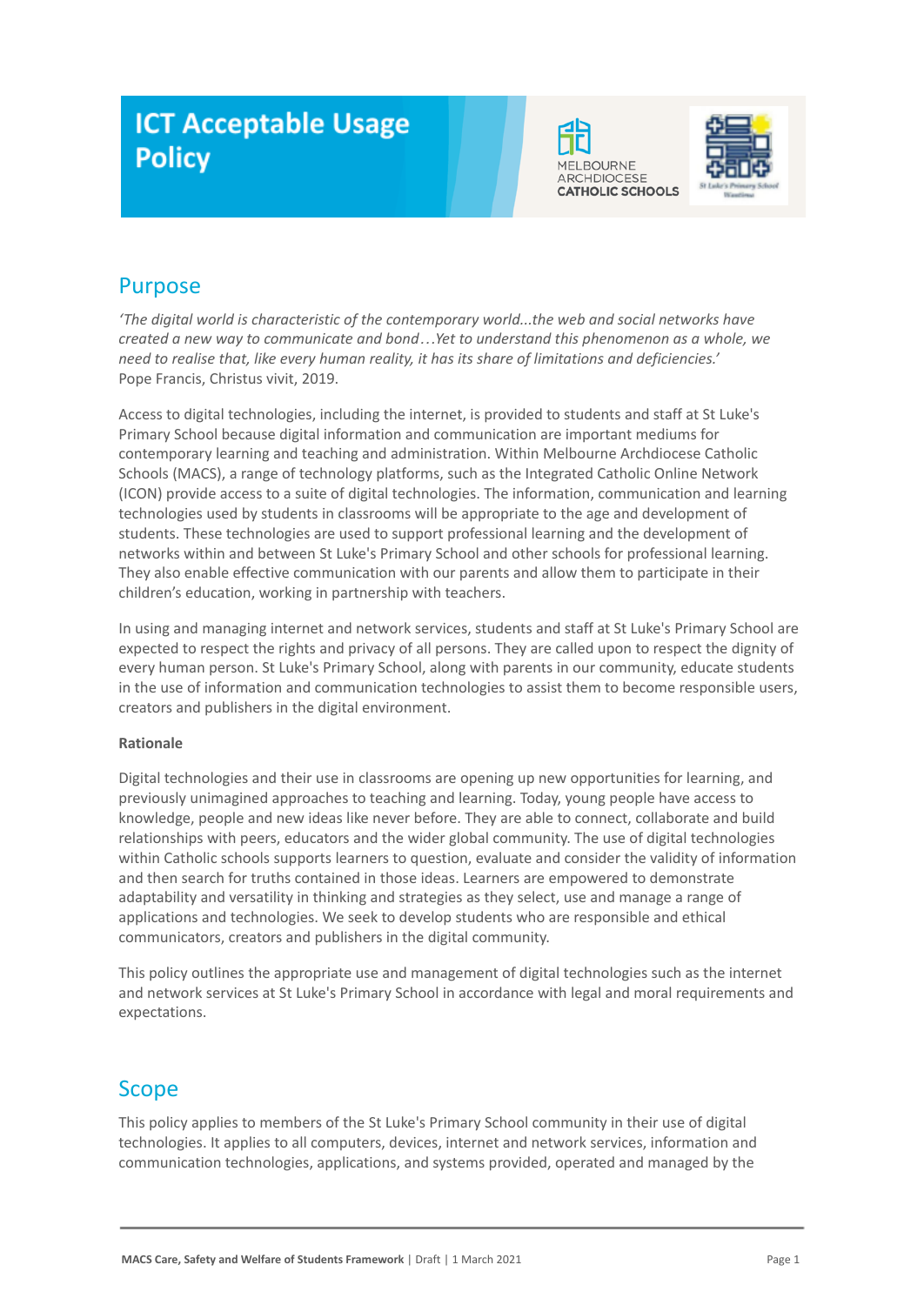# **ICT Acceptable Usage Policy**





# Purpose

*'The digital world is characteristic of the contemporary world...the web and social networks have created a new way to communicate and bond…Yet to understand this phenomenon as a whole, we need to realise that, like every human reality, it has its share of limitations and deficiencies.'* Pope Francis, Christus vivit, 2019.

Access to digital technologies, including the internet, is provided to students and staff at St Luke's Primary School because digital information and communication are important mediums for contemporary learning and teaching and administration. Within Melbourne Archdiocese Catholic Schools (MACS), a range of technology platforms, such as the Integrated Catholic Online Network (ICON) provide access to a suite of digital technologies. The information, communication and learning technologies used by students in classrooms will be appropriate to the age and development of students. These technologies are used to support professional learning and the development of networks within and between St Luke's Primary School and other schools for professional learning. They also enable effective communication with our parents and allow them to participate in their children's education, working in partnership with teachers.

In using and managing internet and network services, students and staff at St Luke's Primary School are expected to respect the rights and privacy of all persons. They are called upon to respect the dignity of every human person. St Luke's Primary School, along with parents in our community, educate students in the use of information and communication technologies to assist them to become responsible users, creators and publishers in the digital environment.

### **Rationale**

Digital technologies and their use in classrooms are opening up new opportunities for learning, and previously unimagined approaches to teaching and learning. Today, young people have access to knowledge, people and new ideas like never before. They are able to connect, collaborate and build relationships with peers, educators and the wider global community. The use of digital technologies within Catholic schools supports learners to question, evaluate and consider the validity of information and then search for truths contained in those ideas. Learners are empowered to demonstrate adaptability and versatility in thinking and strategies as they select, use and manage a range of applications and technologies. We seek to develop students who are responsible and ethical communicators, creators and publishers in the digital community.

This policy outlines the appropriate use and management of digital technologies such as the internet and network services at St Luke's Primary School in accordance with legal and moral requirements and expectations.

# Scope

This policy applies to members of the St Luke's Primary School community in their use of digital technologies. It applies to all computers, devices, internet and network services, information and communication technologies, applications, and systems provided, operated and managed by the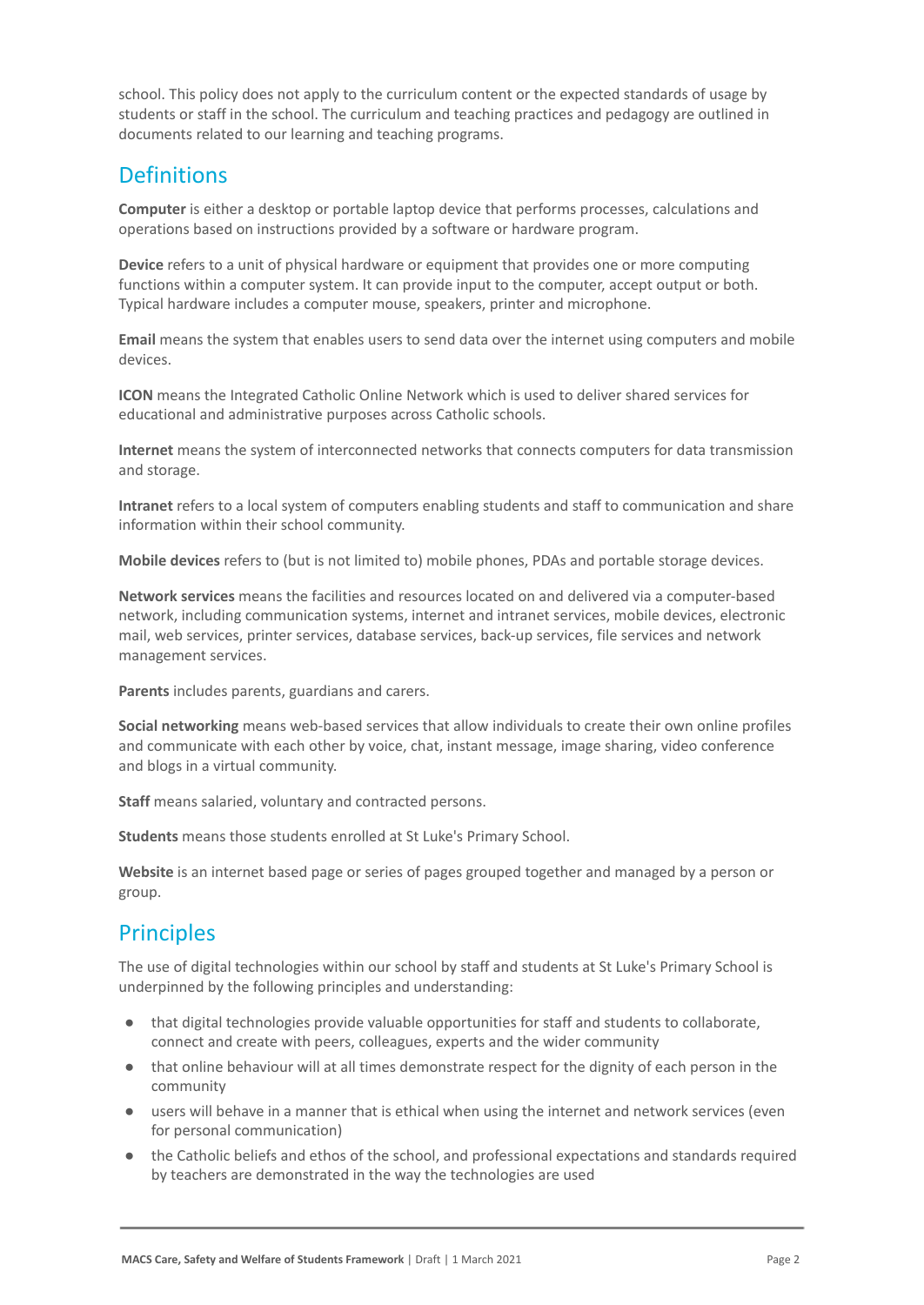school. This policy does not apply to the curriculum content or the expected standards of usage by students or staff in the school. The curriculum and teaching practices and pedagogy are outlined in documents related to our learning and teaching programs.

# **Definitions**

**Computer** is either a desktop or portable laptop device that performs processes, calculations and operations based on instructions provided by a software or hardware program.

**Device** refers to a unit of physical hardware or equipment that provides one or more computing functions within a computer system. It can provide input to the computer, accept output or both. Typical hardware includes a computer mouse, speakers, printer and microphone.

**Email** means the system that enables users to send data over the internet using computers and mobile devices.

**ICON** means the Integrated Catholic Online Network which is used to deliver shared services for educational and administrative purposes across Catholic schools.

**Internet** means the system of interconnected networks that connects computers for data transmission and storage.

**Intranet** refers to a local system of computers enabling students and staff to communication and share information within their school community.

**Mobile devices** refers to (but is not limited to) mobile phones, PDAs and portable storage devices.

**Network services** means the facilities and resources located on and delivered via a computer-based network, including communication systems, internet and intranet services, mobile devices, electronic mail, web services, printer services, database services, back-up services, file services and network management services.

**Parents** includes parents, guardians and carers.

**Social networking** means web-based services that allow individuals to create their own online profiles and communicate with each other by voice, chat, instant message, image sharing, video conference and blogs in a virtual community.

**Staff** means salaried, voluntary and contracted persons.

**Students** means those students enrolled at St Luke's Primary School.

**Website** is an internet based page or series of pages grouped together and managed by a person or group.

# Principles

The use of digital technologies within our school by staff and students at St Luke's Primary School is underpinned by the following principles and understanding:

- that digital technologies provide valuable opportunities for staff and students to collaborate, connect and create with peers, colleagues, experts and the wider community
- that online behaviour will at all times demonstrate respect for the dignity of each person in the community
- users will behave in a manner that is ethical when using the internet and network services (even for personal communication)
- the Catholic beliefs and ethos of the school, and professional expectations and standards required by teachers are demonstrated in the way the technologies are used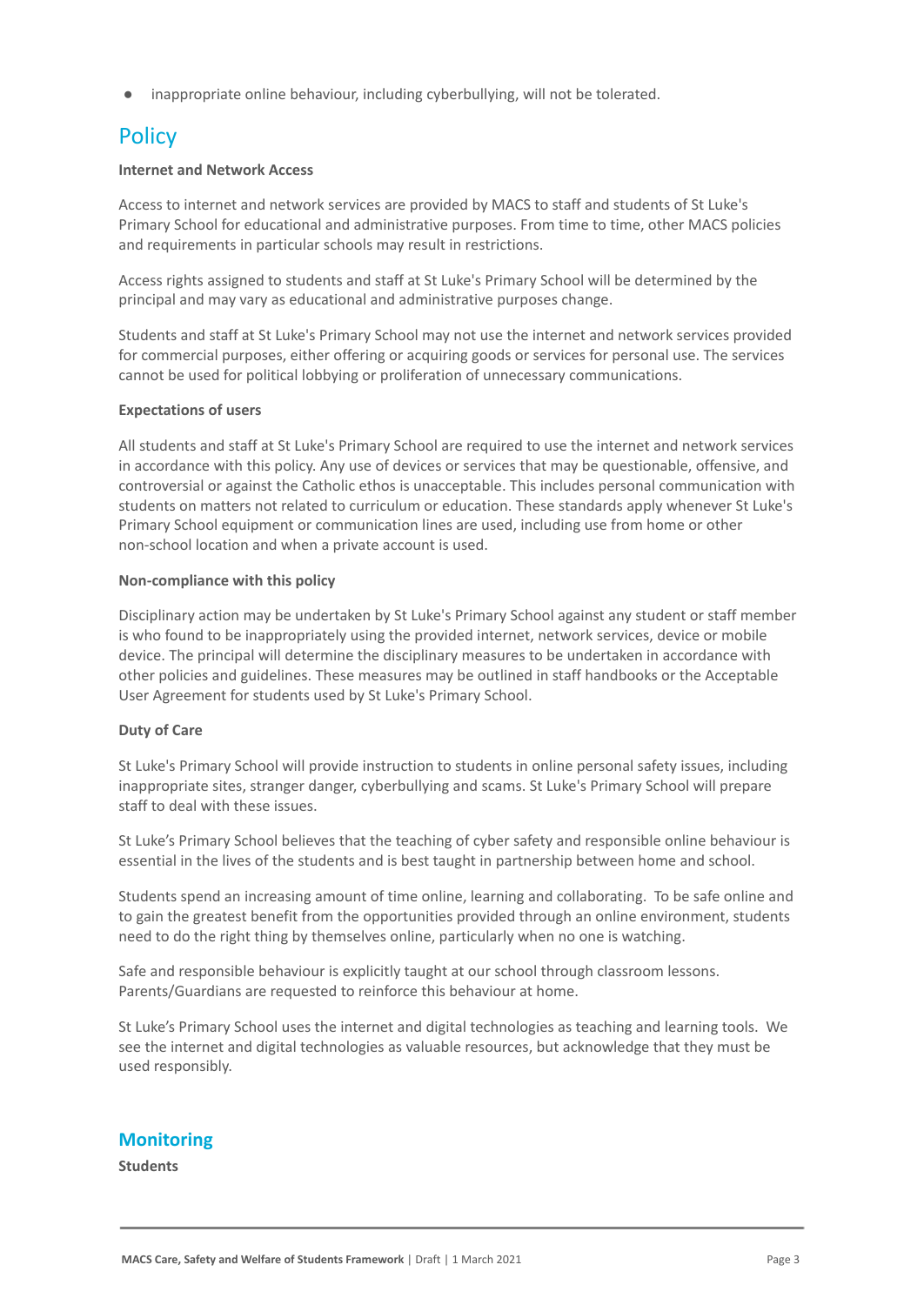inappropriate online behaviour, including cyberbullying, will not be tolerated.

# **Policy**

#### **Internet and Network Access**

Access to internet and network services are provided by MACS to staff and students of St Luke's Primary School for educational and administrative purposes. From time to time, other MACS policies and requirements in particular schools may result in restrictions.

Access rights assigned to students and staff at St Luke's Primary School will be determined by the principal and may vary as educational and administrative purposes change.

Students and staff at St Luke's Primary School may not use the internet and network services provided for commercial purposes, either offering or acquiring goods or services for personal use. The services cannot be used for political lobbying or proliferation of unnecessary communications.

### **Expectations of users**

All students and staff at St Luke's Primary School are required to use the internet and network services in accordance with this policy. Any use of devices or services that may be questionable, offensive, and controversial or against the Catholic ethos is unacceptable. This includes personal communication with students on matters not related to curriculum or education. These standards apply whenever St Luke's Primary School equipment or communication lines are used, including use from home or other non-school location and when a private account is used.

#### **Non-compliance with this policy**

Disciplinary action may be undertaken by St Luke's Primary School against any student or staff member is who found to be inappropriately using the provided internet, network services, device or mobile device. The principal will determine the disciplinary measures to be undertaken in accordance with other policies and guidelines. These measures may be outlined in staff handbooks or the Acceptable User Agreement for students used by St Luke's Primary School.

### **Duty of Care**

St Luke's Primary School will provide instruction to students in online personal safety issues, including inappropriate sites, stranger danger, cyberbullying and scams. St Luke's Primary School will prepare staff to deal with these issues.

St Luke's Primary School believes that the teaching of cyber safety and responsible online behaviour is essential in the lives of the students and is best taught in partnership between home and school.

Students spend an increasing amount of time online, learning and collaborating. To be safe online and to gain the greatest benefit from the opportunities provided through an online environment, students need to do the right thing by themselves online, particularly when no one is watching.

Safe and responsible behaviour is explicitly taught at our school through classroom lessons. Parents/Guardians are requested to reinforce this behaviour at home.

St Luke's Primary School uses the internet and digital technologies as teaching and learning tools. We see the internet and digital technologies as valuable resources, but acknowledge that they must be used responsibly.

### **Monitoring**

**Students**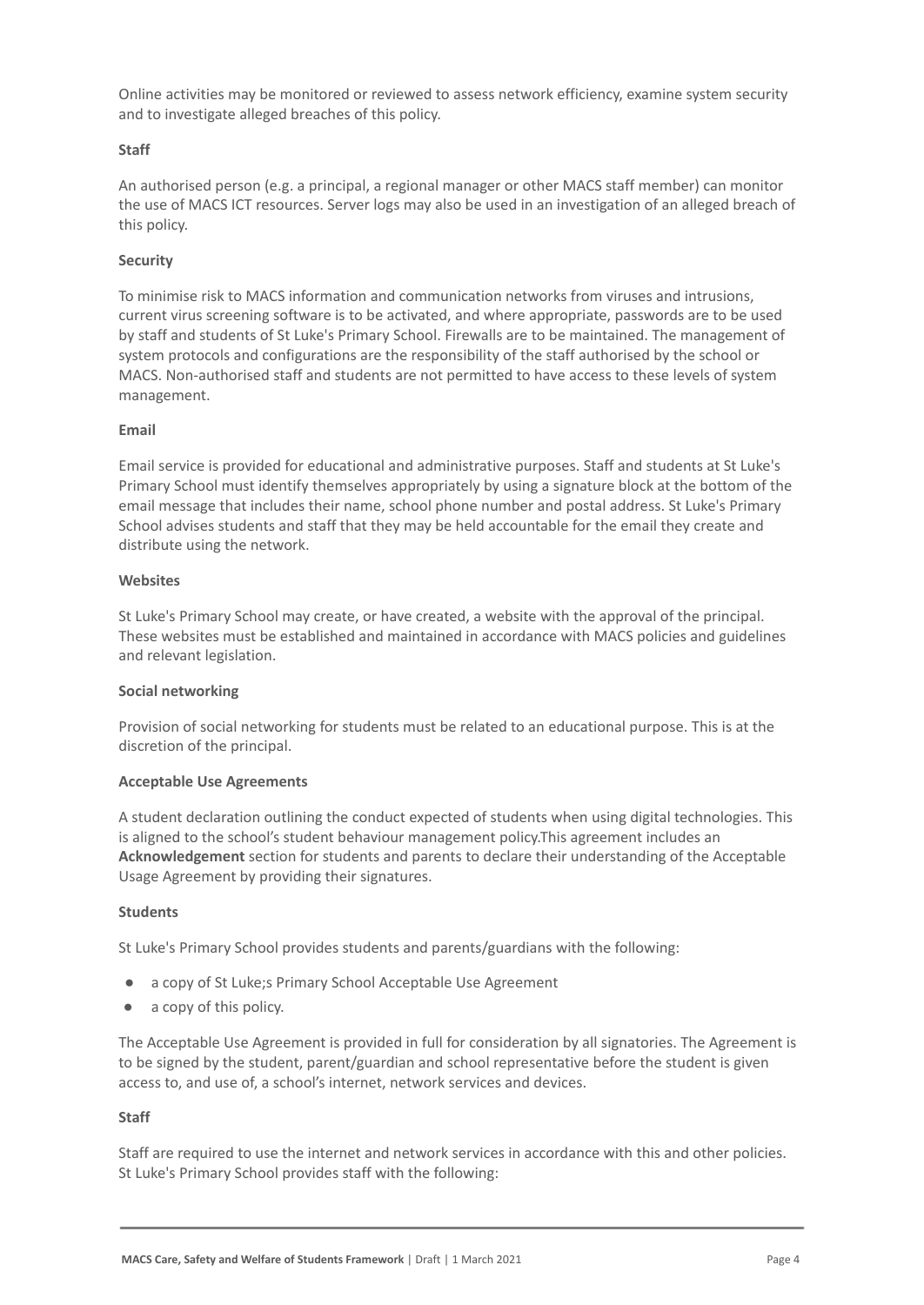Online activities may be monitored or reviewed to assess network efficiency, examine system security and to investigate alleged breaches of this policy.

### **Staff**

An authorised person (e.g. a principal, a regional manager or other MACS staff member) can monitor the use of MACS ICT resources. Server logs may also be used in an investigation of an alleged breach of this policy.

### **Security**

To minimise risk to MACS information and communication networks from viruses and intrusions, current virus screening software is to be activated, and where appropriate, passwords are to be used by staff and students of St Luke's Primary School. Firewalls are to be maintained. The management of system protocols and configurations are the responsibility of the staff authorised by the school or MACS. Non-authorised staff and students are not permitted to have access to these levels of system management.

#### **Email**

Email service is provided for educational and administrative purposes. Staff and students at St Luke's Primary School must identify themselves appropriately by using a signature block at the bottom of the email message that includes their name, school phone number and postal address. St Luke's Primary School advises students and staff that they may be held accountable for the email they create and distribute using the network.

#### **Websites**

St Luke's Primary School may create, or have created, a website with the approval of the principal. These websites must be established and maintained in accordance with MACS policies and guidelines and relevant legislation.

#### **Social networking**

Provision of social networking for students must be related to an educational purpose. This is at the discretion of the principal.

#### **Acceptable Use Agreements**

A student declaration outlining the conduct expected of students when using digital technologies. This is aligned to the school's student behaviour management policy.This agreement includes an **Acknowledgement** section for students and parents to declare their understanding of the Acceptable Usage Agreement by providing their signatures.

#### **Students**

St Luke's Primary School provides students and parents/guardians with the following:

- a copy of St Luke;s Primary School Acceptable Use Agreement
- a copy of this policy.

The Acceptable Use Agreement is provided in full for consideration by all signatories. The Agreement is to be signed by the student, parent/guardian and school representative before the student is given access to, and use of, a school's internet, network services and devices.

#### **Staff**

Staff are required to use the internet and network services in accordance with this and other policies. St Luke's Primary School provides staff with the following: